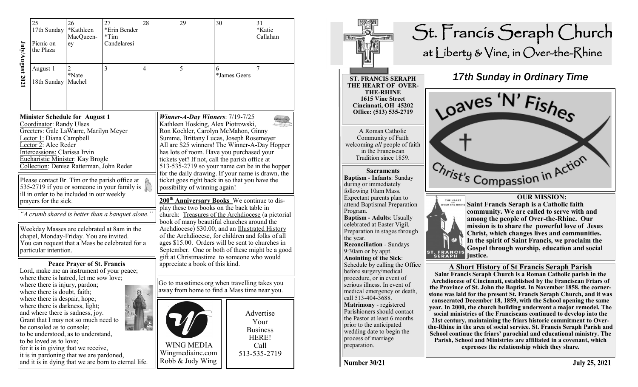| $J$ uly/ $A$ ugust 202                                                                                                                                                                                                                                                                                                                                                                                                                                                                                                                                                                                                                                                            | 25<br>17th Sunday<br>Picnic on<br>the Plaza                                                                                                                                                                                                                                                                                                                                                                                                   | 26<br>*Kathleen<br>MacQueen-<br>ey | 27<br>*Erin Bender<br>$*Tim$<br>Candelaresi                                                        | 28             |                                                                                                                                                                                                                                                                                                                                                                                                                                                                                                                                                                                                                                                                                                                                                                                                                                                                                                                                                                              | 29                                                                                                                                                                                            | 30 |              | 31<br>*Katie<br>Callahan                                              |
|-----------------------------------------------------------------------------------------------------------------------------------------------------------------------------------------------------------------------------------------------------------------------------------------------------------------------------------------------------------------------------------------------------------------------------------------------------------------------------------------------------------------------------------------------------------------------------------------------------------------------------------------------------------------------------------|-----------------------------------------------------------------------------------------------------------------------------------------------------------------------------------------------------------------------------------------------------------------------------------------------------------------------------------------------------------------------------------------------------------------------------------------------|------------------------------------|----------------------------------------------------------------------------------------------------|----------------|------------------------------------------------------------------------------------------------------------------------------------------------------------------------------------------------------------------------------------------------------------------------------------------------------------------------------------------------------------------------------------------------------------------------------------------------------------------------------------------------------------------------------------------------------------------------------------------------------------------------------------------------------------------------------------------------------------------------------------------------------------------------------------------------------------------------------------------------------------------------------------------------------------------------------------------------------------------------------|-----------------------------------------------------------------------------------------------------------------------------------------------------------------------------------------------|----|--------------|-----------------------------------------------------------------------|
|                                                                                                                                                                                                                                                                                                                                                                                                                                                                                                                                                                                                                                                                                   | August 1<br>18th Sunday                                                                                                                                                                                                                                                                                                                                                                                                                       | $\overline{c}$<br>*Nate<br>Machel  | 3                                                                                                  | $\overline{4}$ |                                                                                                                                                                                                                                                                                                                                                                                                                                                                                                                                                                                                                                                                                                                                                                                                                                                                                                                                                                              | 5                                                                                                                                                                                             | 6  | *James Geers | 7                                                                     |
| <b>Minister Schedule for August 1</b><br>Coordinator: Randy Ulses<br>Greeters: Gale LaWarre, Marilyn Meyer<br>Lector 1: Diana Campbell<br>Lector 2: Alec Reder<br>Intercessions: Clarissa Irvin<br>Eucharistic Minister: Kay Brogle<br>Collection: Denise Ratterman, John Reder<br>Please contact Br. Tim or the parish office at<br>535-2719 if you or someone in your family is<br>ill in order to be included in our weekly<br>prayers for the sick.<br>"A crumb shared is better than a banquet alone."<br>Weekday Masses are celebrated at 8am in the<br>chapel, Monday-Friday. You are invited.<br>You can request that a Mass be celebrated for a<br>particular intention. |                                                                                                                                                                                                                                                                                                                                                                                                                                               |                                    |                                                                                                    |                | Winner-A-Day Winners: $7/19-7/25$<br>Kathleen Hosking, Alex Piotrowski,<br>Ron Koehler, Carolyn McMahon, Ginny<br>Summe, Brittany Lucas, Joseph Rosemeyer<br>All are \$25 winners! The Winner-A-Day Hopper<br>has lots of room. Have you purchased your<br>tickets yet? If not, call the parish office at<br>513-535-2719 so your name can be in the hopper<br>for the daily drawing. If your name is drawn, the<br>ticket goes right back in so that you have the<br>possibility of winning again!<br>200 <sup>th</sup> Anniversary Books We continue to dis-<br>play these two books on the back table in<br>church: Treasures of the Archdiocese (a pictorial<br>book of many beautiful churches around the<br>Archdiocese) \$30.00; and an Illustrated History<br>of the Archdiocese, for children and folks of all<br>ages \$15.00. Orders will be sent to churches in<br>September. One or both of these might be a good<br>gift at Christmastime to someone who would |                                                                                                                                                                                               |    |              |                                                                       |
|                                                                                                                                                                                                                                                                                                                                                                                                                                                                                                                                                                                                                                                                                   | where there is hatred, let me sow love;<br>where there is injury, pardon;<br>where there is doubt, faith;<br>where there is despair, hope;<br>where there is darkness, light;<br>and where there is sadness, joy.<br>Grant that I may not so much need to<br>be consoled as to console;<br>to be understood, as to understand,<br>to be loved as to love;<br>for it is in giving that we receive,<br>it is in pardoning that we are pardoned, | <b>Peace Prayer of St. Francis</b> | Lord, make me an instrument of your peace;<br>and it is in dying that we are born to eternal life. |                |                                                                                                                                                                                                                                                                                                                                                                                                                                                                                                                                                                                                                                                                                                                                                                                                                                                                                                                                                                              | appreciate a book of this kind.<br>Go to masstimes.org when travelling takes you<br>away from home to find a Mass time near you.<br><b>WING MEDIA</b><br>Wingmediainc.com<br>Robb & Judy Wing |    |              | Advertise<br>Your<br><b>Business</b><br>HERE!<br>Call<br>513-535-2719 |



Number 30/21